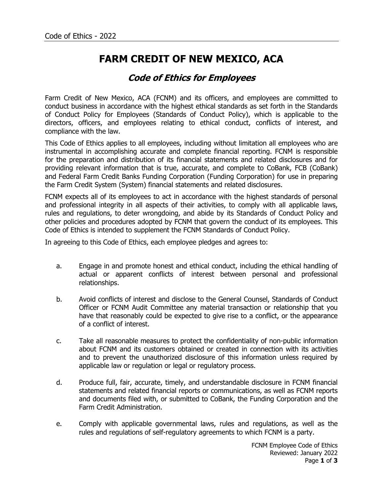## **FARM CREDIT OF NEW MEXICO, ACA**

## **Code of Ethics for Employees**

Farm Credit of New Mexico, ACA (FCNM) and its officers, and employees are committed to conduct business in accordance with the highest ethical standards as set forth in the Standards of Conduct Policy for Employees (Standards of Conduct Policy), which is applicable to the directors, officers, and employees relating to ethical conduct, conflicts of interest, and compliance with the law.

This Code of Ethics applies to all employees, including without limitation all employees who are instrumental in accomplishing accurate and complete financial reporting. FCNM is responsible for the preparation and distribution of its financial statements and related disclosures and for providing relevant information that is true, accurate, and complete to CoBank, FCB (CoBank) and Federal Farm Credit Banks Funding Corporation (Funding Corporation) for use in preparing the Farm Credit System (System) financial statements and related disclosures.

FCNM expects all of its employees to act in accordance with the highest standards of personal and professional integrity in all aspects of their activities, to comply with all applicable laws, rules and regulations, to deter wrongdoing, and abide by its Standards of Conduct Policy and other policies and procedures adopted by FCNM that govern the conduct of its employees. This Code of Ethics is intended to supplement the FCNM Standards of Conduct Policy.

In agreeing to this Code of Ethics, each employee pledges and agrees to:

- a. Engage in and promote honest and ethical conduct, including the ethical handling of actual or apparent conflicts of interest between personal and professional relationships.
- b. Avoid conflicts of interest and disclose to the General Counsel, Standards of Conduct Officer or FCNM Audit Committee any material transaction or relationship that you have that reasonably could be expected to give rise to a conflict, or the appearance of a conflict of interest.
- c. Take all reasonable measures to protect the confidentiality of non-public information about FCNM and its customers obtained or created in connection with its activities and to prevent the unauthorized disclosure of this information unless required by applicable law or regulation or legal or regulatory process.
- d. Produce full, fair, accurate, timely, and understandable disclosure in FCNM financial statements and related financial reports or communications, as well as FCNM reports and documents filed with, or submitted to CoBank, the Funding Corporation and the Farm Credit Administration.
- e. Comply with applicable governmental laws, rules and regulations, as well as the rules and regulations of self-regulatory agreements to which FCNM is a party.